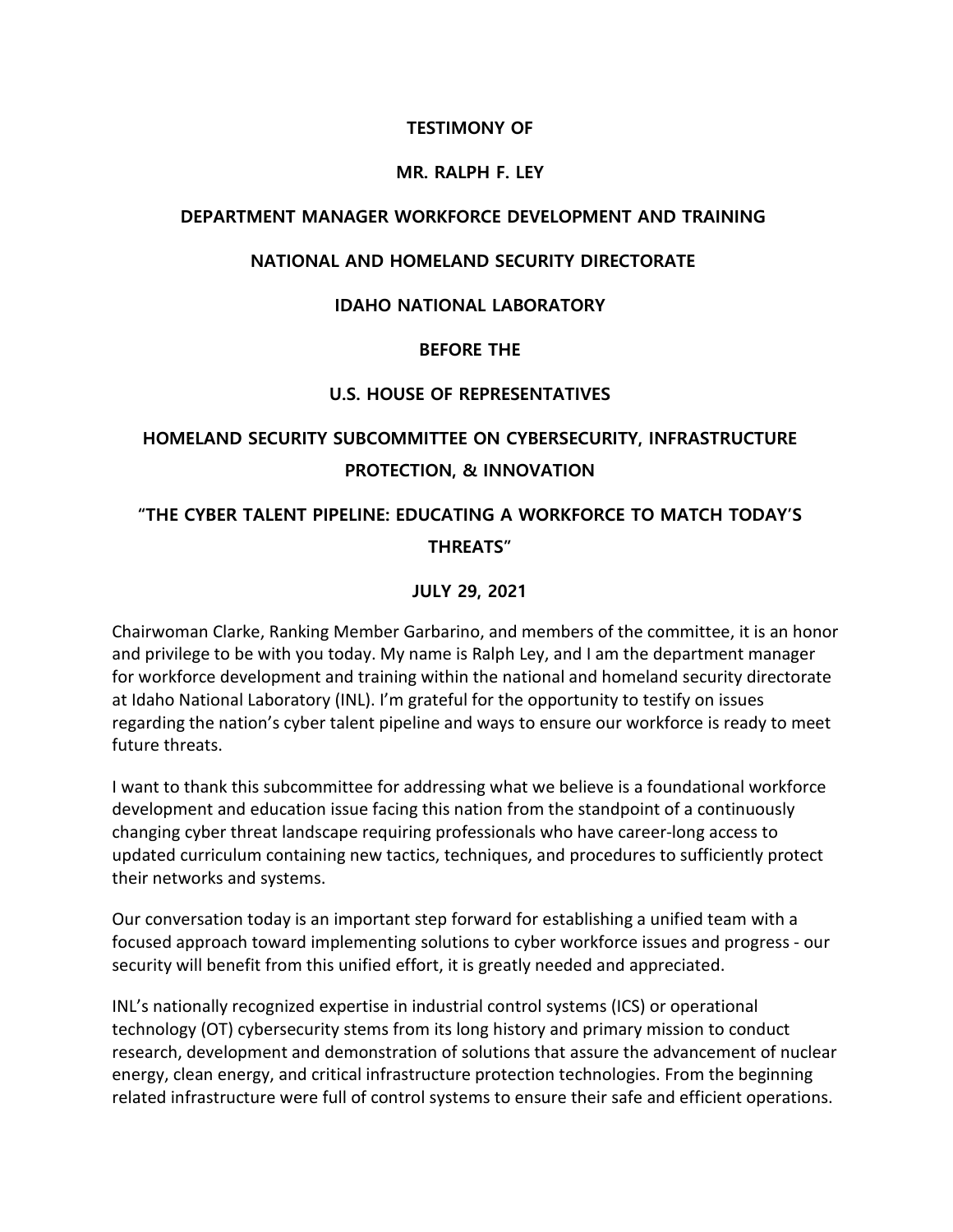# **TESTIMONY OF**

#### **MR. RALPH F. LEY**

## **DEPARTMENT MANAGER WORKFORCE DEVELOPMENT AND TRAINING**

# **NATIONAL AND HOMELAND SECURITY DIRECTORATE**

# **IDAHO NATIONAL LABORATORY**

#### **BEFORE THE**

# **U.S. HOUSE OF REPRESENTATIVES**

# **HOMELAND SECURITY SUBCOMMITTEE ON CYBERSECURITY, INFRASTRUCTURE PROTECTION, & INNOVATION**

# **"THE CYBER TALENT PIPELINE: EDUCATING A WORKFORCE TO MATCH TODAY'S THREATS"**

# **JULY 29, 2021**

Chairwoman Clarke, Ranking Member Garbarino, and members of the committee, it is an honor and privilege to be with you today. My name is Ralph Ley, and I am the department manager for workforce development and training within the national and homeland security directorate at Idaho National Laboratory (INL). I'm grateful for the opportunity to testify on issues regarding the nation's cyber talent pipeline and ways to ensure our workforce is ready to meet future threats.

I want to thank this subcommittee for addressing what we believe is a foundational workforce development and education issue facing this nation from the standpoint of a continuously changing cyber threat landscape requiring professionals who have career-long access to updated curriculum containing new tactics, techniques, and procedures to sufficiently protect their networks and systems.

Our conversation today is an important step forward for establishing a unified team with a focused approach toward implementing solutions to cyber workforce issues and progress - our security will benefit from this unified effort, it is greatly needed and appreciated.

INL's nationally recognized expertise in industrial control systems (ICS) or operational technology (OT) cybersecurity stems from its long history and primary mission to conduct research, development and demonstration of solutions that assure the advancement of nuclear energy, clean energy, and critical infrastructure protection technologies. From the beginning related infrastructure were full of control systems to ensure their safe and efficient operations.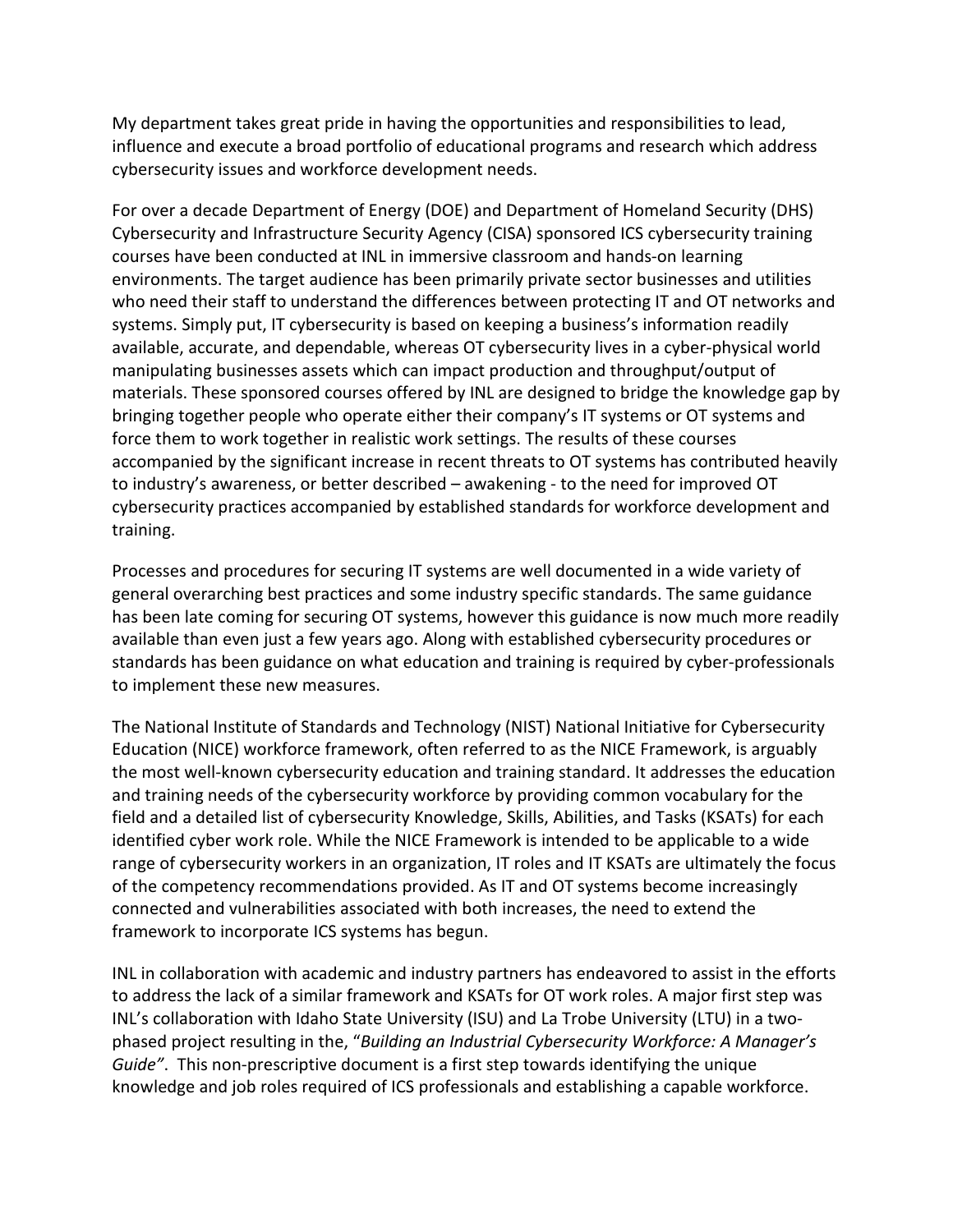My department takes great pride in having the opportunities and responsibilities to lead, influence and execute a broad portfolio of educational programs and research which address cybersecurity issues and workforce development needs.

For over a decade Department of Energy (DOE) and Department of Homeland Security (DHS) Cybersecurity and Infrastructure Security Agency (CISA) sponsored ICS cybersecurity training courses have been conducted at INL in immersive classroom and hands-on learning environments. The target audience has been primarily private sector businesses and utilities who need their staff to understand the differences between protecting IT and OT networks and systems. Simply put, IT cybersecurity is based on keeping a business's information readily available, accurate, and dependable, whereas OT cybersecurity lives in a cyber-physical world manipulating businesses assets which can impact production and throughput/output of materials. These sponsored courses offered by INL are designed to bridge the knowledge gap by bringing together people who operate either their company's IT systems or OT systems and force them to work together in realistic work settings. The results of these courses accompanied by the significant increase in recent threats to OT systems has contributed heavily to industry's awareness, or better described – awakening - to the need for improved OT cybersecurity practices accompanied by established standards for workforce development and training.

Processes and procedures for securing IT systems are well documented in a wide variety of general overarching best practices and some industry specific standards. The same guidance has been late coming for securing OT systems, however this guidance is now much more readily available than even just a few years ago. Along with established cybersecurity procedures or standards has been guidance on what education and training is required by cyber-professionals to implement these new measures.

The National Institute of Standards and Technology (NIST) National Initiative for Cybersecurity Education (NICE) workforce framework, often referred to as the NICE Framework, is arguably the most well-known cybersecurity education and training standard. It addresses the education and training needs of the cybersecurity workforce by providing common vocabulary for the field and a detailed list of cybersecurity Knowledge, Skills, Abilities, and Tasks (KSATs) for each identified cyber work role. While the NICE Framework is intended to be applicable to a wide range of cybersecurity workers in an organization, IT roles and IT KSATs are ultimately the focus of the competency recommendations provided. As IT and OT systems become increasingly connected and vulnerabilities associated with both increases, the need to extend the framework to incorporate ICS systems has begun.

INL in collaboration with academic and industry partners has endeavored to assist in the efforts to address the lack of a similar framework and KSATs for OT work roles. A major first step was INL's collaboration with Idaho State University (ISU) and La Trobe University (LTU) in a twophased project resulting in the, "*Building an Industrial Cybersecurity Workforce: A Manager's Guide"*. This non-prescriptive document is a first step towards identifying the unique knowledge and job roles required of ICS professionals and establishing a capable workforce.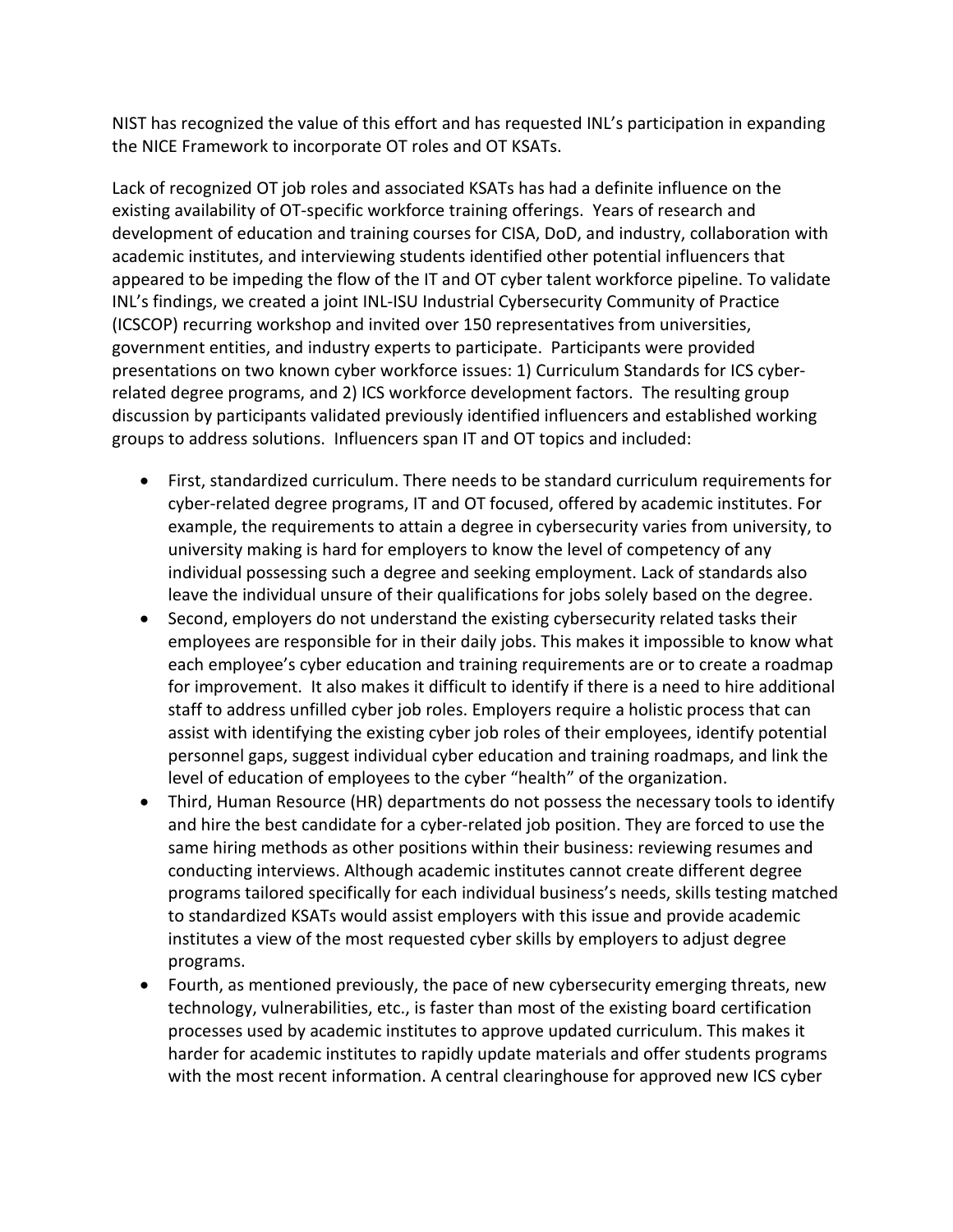NIST has recognized the value of this effort and has requested INL's participation in expanding the NICE Framework to incorporate OT roles and OT KSATs.

Lack of recognized OT job roles and associated KSATs has had a definite influence on the existing availability of OT-specific workforce training offerings. Years of research and development of education and training courses for CISA, DoD, and industry, collaboration with academic institutes, and interviewing students identified other potential influencers that appeared to be impeding the flow of the IT and OT cyber talent workforce pipeline. To validate INL's findings, we created a joint INL-ISU Industrial Cybersecurity Community of Practice (ICSCOP) recurring workshop and invited over 150 representatives from universities, government entities, and industry experts to participate. Participants were provided presentations on two known cyber workforce issues: 1) Curriculum Standards for ICS cyberrelated degree programs, and 2) ICS workforce development factors. The resulting group discussion by participants validated previously identified influencers and established working groups to address solutions. Influencers span IT and OT topics and included:

- First, standardized curriculum. There needs to be standard curriculum requirements for cyber-related degree programs, IT and OT focused, offered by academic institutes. For example, the requirements to attain a degree in cybersecurity varies from university, to university making is hard for employers to know the level of competency of any individual possessing such a degree and seeking employment. Lack of standards also leave the individual unsure of their qualifications for jobs solely based on the degree.
- Second, employers do not understand the existing cybersecurity related tasks their employees are responsible for in their daily jobs. This makes it impossible to know what each employee's cyber education and training requirements are or to create a roadmap for improvement. It also makes it difficult to identify if there is a need to hire additional staff to address unfilled cyber job roles. Employers require a holistic process that can assist with identifying the existing cyber job roles of their employees, identify potential personnel gaps, suggest individual cyber education and training roadmaps, and link the level of education of employees to the cyber "health" of the organization.
- Third, Human Resource (HR) departments do not possess the necessary tools to identify and hire the best candidate for a cyber-related job position. They are forced to use the same hiring methods as other positions within their business: reviewing resumes and conducting interviews. Although academic institutes cannot create different degree programs tailored specifically for each individual business's needs, skills testing matched to standardized KSATs would assist employers with this issue and provide academic institutes a view of the most requested cyber skills by employers to adjust degree programs.
- Fourth, as mentioned previously, the pace of new cybersecurity emerging threats, new technology, vulnerabilities, etc., is faster than most of the existing board certification processes used by academic institutes to approve updated curriculum. This makes it harder for academic institutes to rapidly update materials and offer students programs with the most recent information. A central clearinghouse for approved new ICS cyber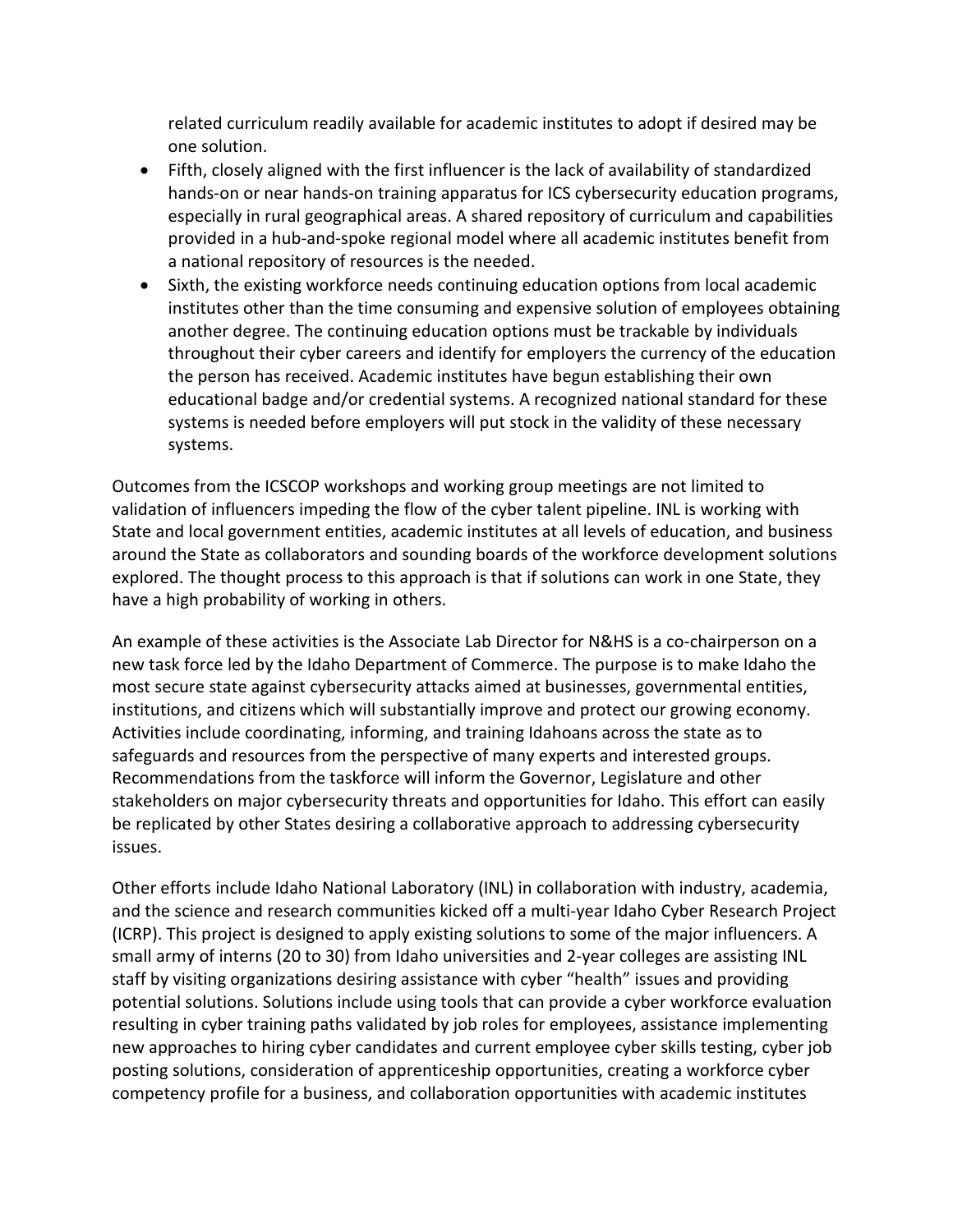related curriculum readily available for academic institutes to adopt if desired may be one solution.

- Fifth, closely aligned with the first influencer is the lack of availability of standardized hands-on or near hands-on training apparatus for ICS cybersecurity education programs, especially in rural geographical areas. A shared repository of curriculum and capabilities provided in a hub-and-spoke regional model where all academic institutes benefit from a national repository of resources is the needed.
- Sixth, the existing workforce needs continuing education options from local academic institutes other than the time consuming and expensive solution of employees obtaining another degree. The continuing education options must be trackable by individuals throughout their cyber careers and identify for employers the currency of the education the person has received. Academic institutes have begun establishing their own educational badge and/or credential systems. A recognized national standard for these systems is needed before employers will put stock in the validity of these necessary systems.

Outcomes from the ICSCOP workshops and working group meetings are not limited to validation of influencers impeding the flow of the cyber talent pipeline. INL is working with State and local government entities, academic institutes at all levels of education, and business around the State as collaborators and sounding boards of the workforce development solutions explored. The thought process to this approach is that if solutions can work in one State, they have a high probability of working in others.

An example of these activities is the Associate Lab Director for N&HS is a co-chairperson on a new task force led by the Idaho Department of Commerce. The purpose is to make Idaho the most secure state against cybersecurity attacks aimed at businesses, governmental entities, institutions, and citizens which will substantially improve and protect our growing economy. Activities include coordinating, informing, and training Idahoans across the state as to safeguards and resources from the perspective of many experts and interested groups. Recommendations from the taskforce will inform the Governor, Legislature and other stakeholders on major cybersecurity threats and opportunities for Idaho. This effort can easily be replicated by other States desiring a collaborative approach to addressing cybersecurity issues.

Other efforts include Idaho National Laboratory (INL) in collaboration with industry, academia, and the science and research communities kicked off a multi-year Idaho Cyber Research Project (ICRP). This project is designed to apply existing solutions to some of the major influencers. A small army of interns (20 to 30) from Idaho universities and 2-year colleges are assisting INL staff by visiting organizations desiring assistance with cyber "health" issues and providing potential solutions. Solutions include using tools that can provide a cyber workforce evaluation resulting in cyber training paths validated by job roles for employees, assistance implementing new approaches to hiring cyber candidates and current employee cyber skills testing, cyber job posting solutions, consideration of apprenticeship opportunities, creating a workforce cyber competency profile for a business, and collaboration opportunities with academic institutes